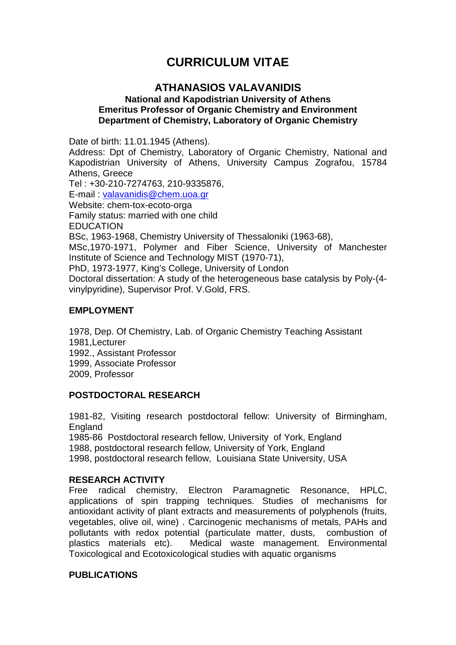## **CURRICULUM VITAE**

### **ATHANASIOS VALAVANIDIS**

#### **National and Kapodistrian University of Athens Emeritus Professor of Organic Chemistry and Environment Department of Chemistry, Laboratory of Organic Chemistry**

Date of birth: 11.01.1945 (Athens).

Address: Dpt of Chemistry, Laboratory of Organic Chemistry, National and Kapodistrian University of Athens, University Campus Zografou, 15784 Athens, Greece

Tel : +30-210-7274763, 210-9335876, E-mail : [valavanidis@chem.uoa.gr](mailto:valavanidis@chem.uoa.gr) Website: chem-tox-ecoto-orga Family status: married with one child EDUCATION BSc, 1963-1968, Chemistry University of Thessaloniki (1963-68), MSc,1970-1971, Polymer and Fiber Science, University of Manchester Institute of Science and Technology MIST (1970-71), PhD, 1973-1977, King's College, University of London Doctoral dissertation: A study of the heterogeneous base catalysis by Poly-(4 vinylpyridine), Supervisor Prof. V.Gold, FRS.

#### **EMPLOYMENT**

1978, Dep. Of Chemistry, Lab. of Organic Chemistry Teaching Assistant 1981,Lecturer 1992., Assistant Professor 1999, Associate Professor 2009, Professor

#### **POSTDOCTORAL RESEARCH**

1981-82, Visiting research postdoctoral fellow: University of Birmingham, **England** 

1985-86 Postdoctoral research fellow, University of York, England 1988, postdoctoral research fellow, University of York, England 1998, postdoctoral research fellow, Louisiana State University, USA

#### **RESEARCH ACTIVITY**

Free radical chemistry, Electron Paramagnetic Resonance, HPLC, applications of spin trapping techniques. Studies of mechanisms for antioxidant activity of plant extracts and measurements of polyphenols (fruits, vegetables, olive oil, wine) . Carcinogenic mechanisms of metals, PAHs and pollutants with redox potential (particulate matter, dusts, combustion of plastics materials etc). Medical waste management. Environmental Toxicological and Ecotoxicological studies with aquatic organisms

#### **PUBLICATIONS**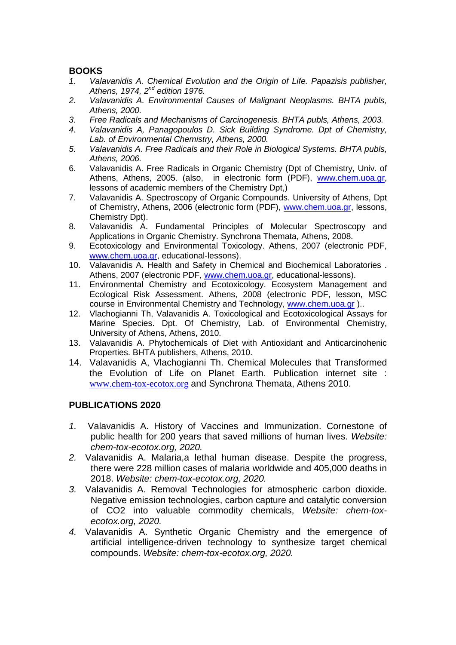# **BOOKS**

- *1. Valavanidis A. Chemical Evolution and the Origin of Life. Papazisis publisher, Athens, 1974, 2nd edition 1976.*
- *2. Valavanidis A. Environmental Causes of Malignant Neoplasms. BHTA publs, Athens, 2000.*
- *3. Free Radicals and Mechanisms of Carcinogenesis. BHTA publs, Athens, 2003.*
- *4. Valavanidis A, Panagopoulos D. Sick Building Syndrome. Dpt of Chemistry, Lab. of Environmental Chemistry, Athens, 2000.*
- *5. Valavanidis A. Free Radicals and their Role in Biological Systems. BHTA publs, Athens, 2006.*
- 6. Valavanidis A. Free Radicals in Organic Chemistry (Dpt of Chemistry, Univ. of Athens, Athens, 2005. (also, in electronic form (PDF), [www.chem.uoa.gr,](http://www.chem.uoa.gr/) lessons of academic members of the Chemistry Dpt,)
- 7. Valavanidis A. Spectroscopy of Organic Compounds. University of Athens, Dpt of Chemistry, Athens, 2006 (electronic form (PDF), [www.chem.uoa.gr,](http://www.chem.uoa.gr/) lessons, Chemistry Dpt).
- 8. Valavanidis A. Fundamental Principles of Molecular Spectroscopy and Applications in Organic Chemistry. Synchrona Themata, Athens, 2008.
- 9. Ecotoxicology and Environmental Toxicology. Athens, 2007 (electronic PDF, [www.chem.uoa.gr,](http://www.chem.uoa.gr/) educational-lessons).
- 10. Valavanidis A. Health and Safety in Chemical and Biochemical Laboratories . Athens, 2007 (electronic PDF, [www.chem.uoa.gr,](http://www.chem.uoa.gr/) educational-lessons).
- 11. Environmental Chemistry and Ecotoxicology. Ecosystem Management and Ecological Risk Assessment. Athens, 2008 (electronic PDF, lesson, MSC course in Environmental Chemistry and Technology, [www.chem.uoa.gr](http://www.chem.uoa.gr/) )..
- 12. Vlachogianni Th, Valavanidis A. Toxicological and Ecotoxicological Assays for Marine Species. Dpt. Of Chemistry, Lab. of Environmental Chemistry, University of Athens, Athens, 2010.
- 13. Valavanidis A. Phytochemicals of Diet with Antioxidant and Anticarcinohenic Properties. BHTA publishers, Athens, 2010.
- 14. Valavanidis A, Vlachogianni Th. Chemical Molecules that Transformed the Evolution of Life on Planet Earth. Publication internet site : [www.chem-tox-ecotox.org](http://www.chem-tox-ecotox.org/) and Synchrona Themata, Athens 2010.

#### **PUBLICATIONS 2020**

- *1.* Valavanidis A. History of Vaccines and Immunization. Cornestone of public health for 200 years that saved millions of human lives. *Website: chem-tox-ecotox.org, 2020.*
- *2.* Valavanidis A. Malaria,a lethal human disease. Despite the progress, there were 228 million cases of malaria worldwide and 405,000 deaths in 2018. *Website: chem-tox-ecotox.org, 2020.*
- *3.* Valavanidis A. Removal Technologies for atmospheric carbon dioxide. Negative emission technologies, carbon capture and catalytic conversion of CO2 into valuable commodity chemicals, *Website: chem-toxecotox.org, 2020.*
- *4.* Valavanidis A. Synthetic Organic Chemistry and the emergence of artificial intelligence-driven technology to synthesize target chemical compounds. *Website: chem-tox-ecotox.org, 2020.*